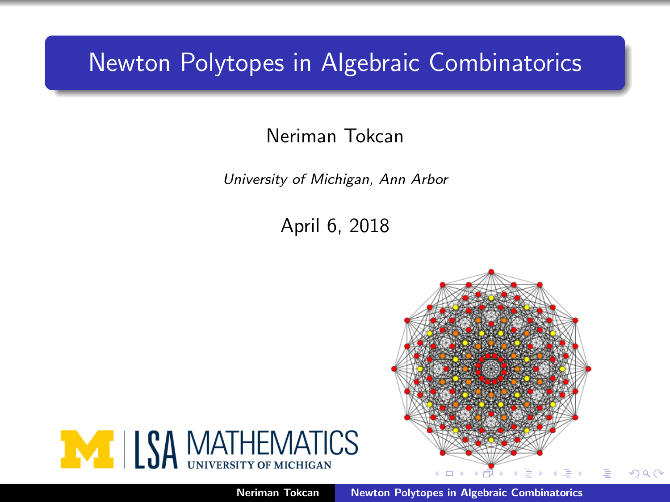### <span id="page-0-0"></span>Newton Polytopes in Algebraic Combinatorics

### Neriman Tokcan

University of Michigan, Ann Arbor

April 6, 2018



Neriman Tokcan [Newton Polytopes in Algebraic Combinatorics](#page-22-0)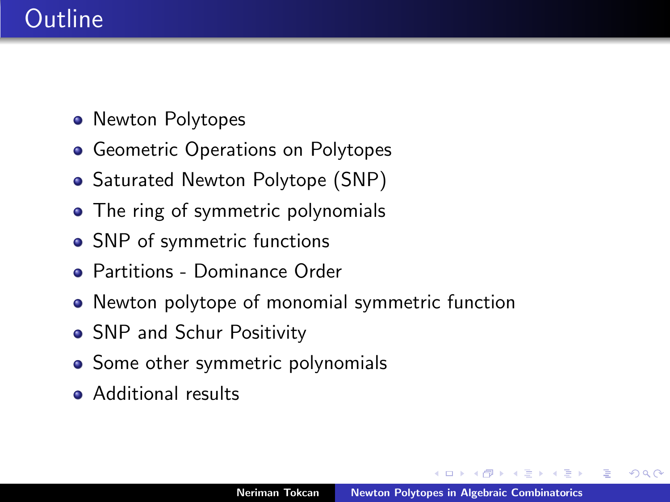## Outline

- Newton Polytopes
- Geometric Operations on Polytopes
- Saturated Newton Polytope (SNP)
- The ring of symmetric polynomials
- SNP of symmetric functions
- Partitions Dominance Order
- Newton polytope of monomial symmetric function
- SNP and Schur Positivity
- Some other symmetric polynomials
- Additional results

つくい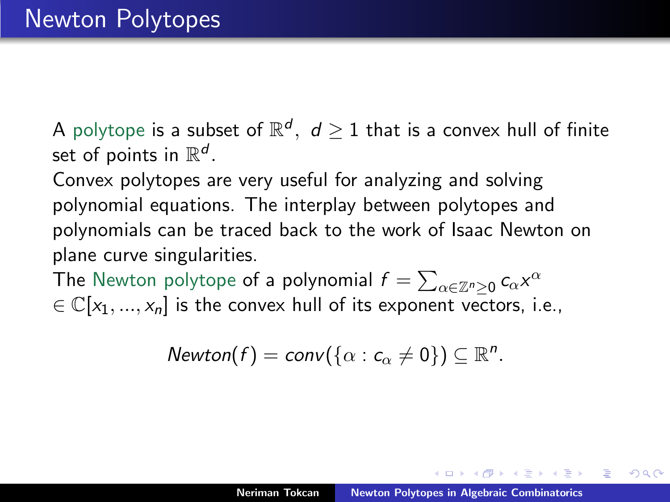A polytope is a subset of  $\mathbb{R}^d, \,\, d\geq 1$  that is a convex hull of finite set of points in  $\mathbb{R}^d$ .

Convex polytopes are very useful for analyzing and solving polynomial equations. The interplay between polytopes and polynomials can be traced back to the work of Isaac Newton on plane curve singularities.

The Newton polytope <mark>of a polynomia</mark>l  $f = \sum_{\alpha \in \mathbb{Z}^n \geq 0} c_\alpha \mathsf{x}^\alpha$  $\in \mathbb{C}[x_1, ..., x_n]$  is the convex hull of its exponent vectors, i.e.,

$$
Newton(f) = conv(\{\alpha : c_{\alpha} \neq 0\}) \subseteq \mathbb{R}^n.
$$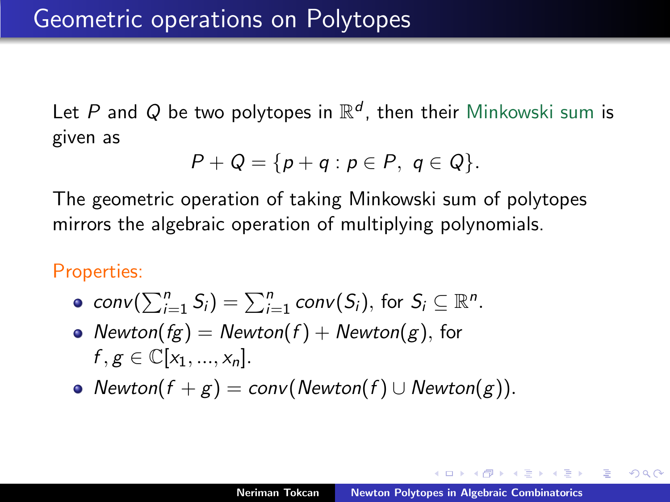Let  $P$  and  $Q$  be two polytopes in  $\mathbb{R}^d$ , then their Minkowski sum is given as

$$
P+Q=\{p+q: p\in P, q\in Q\}.
$$

The geometric operation of taking Minkowski sum of polytopes mirrors the algebraic operation of multiplying polynomials.

Properties:

- $conv(\sum_{i=1}^{n} S_i) = \sum_{i=1}^{n} conv(S_i)$ , for  $S_i \subseteq \mathbb{R}^n$ .
- Newton( $fg$ ) = Newton( $f$ ) + Newton( $g$ ), for  $f, g \in \mathbb{C}[x_1, ..., x_n].$
- Newton(f + g) = conv(Newton(f) ∪ Newton(g)).

オート オート オート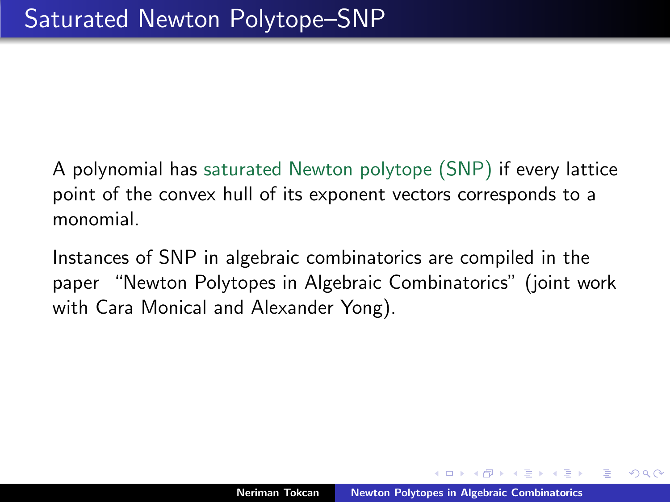A polynomial has saturated Newton polytope (SNP) if every lattice point of the convex hull of its exponent vectors corresponds to a monomial.

Instances of SNP in algebraic combinatorics are compiled in the paper "Newton Polytopes in Algebraic Combinatorics" (joint work with Cara Monical and Alexander Yong).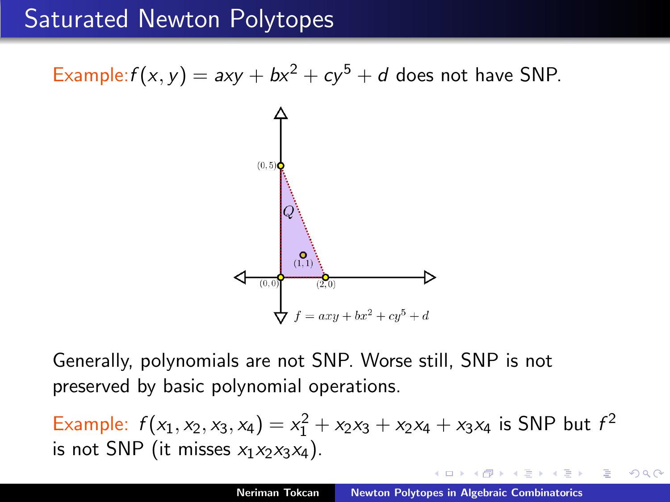## Saturated Newton Polytopes

Example:  $f(x, y) = axy + bx^2 + cy^5 + d$  does not have SNP.



Generally, polynomials are not SNP. Worse still, SNP is not preserved by basic polynomial operations.

Example:  $f(x_1, x_2, x_3, x_4) = x_1^2 + x_2x_3 + x_2x_4 + x_3x_4$  is SNP but  $f^2$ is not SNP (it misses  $x_1x_2x_3x_4$ ).

つくい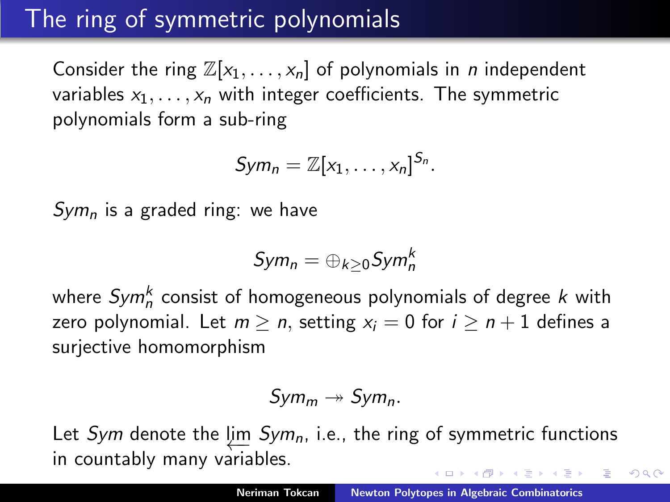# The ring of symmetric polynomials

Consider the ring  $\mathbb{Z}[x_1, \ldots, x_n]$  of polynomials in *n* independent variables  $x_1, \ldots, x_n$  with integer coefficients. The symmetric polynomials form a sub-ring

$$
Sym_n = \mathbb{Z}[x_1,\ldots,x_n]^{S_n}.
$$

 $Sym<sub>n</sub>$  is a graded ring: we have

$$
\mathit{Sym}_n=\oplus_{k\geq 0}\mathit{Sym}_n^k
$$

where  $\mathit{Sym}^k_n$  consist of homogeneous polynomials of degree  $k$  with zero polynomial. Let  $m > n$ , setting  $x_i = 0$  for  $i > n + 1$  defines a surjective homomorphism

$$
Sym_m \twoheadrightarrow Sym_n.
$$

Let *Sym* denote the  $\varprojlim\; Sym_n$ , i.e., the ring of symmetric functions in countably many variables.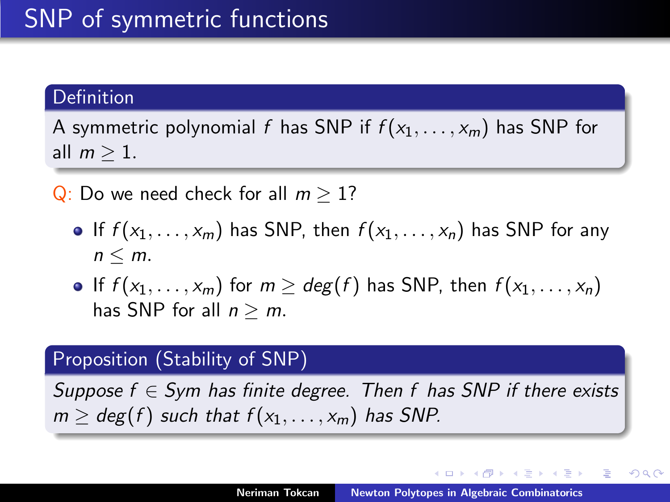### **Definition**

A symmetric polynomial f has SNP if  $f(x_1, \ldots, x_m)$  has SNP for all  $m \geq 1$ .

Q: Do we need check for all  $m > 1$ ?

- If  $f(x_1, \ldots, x_m)$  has SNP, then  $f(x_1, \ldots, x_n)$  has SNP for any  $n \leq m$ .
- If f  $(x_1, \ldots, x_m)$  for  $m \geq deg(f)$  has SNP, then  $f(x_1, \ldots, x_n)$ has SNP for all  $n \geq m$ .

### Proposition (Stability of SNP)

Suppose  $f \in Sym$  has finite degree. Then f has SNP if there exists  $m \geq deg(f)$  such that  $f(x_1, \ldots, x_m)$  has SNP.

メロト メタト メミト メミト

つくい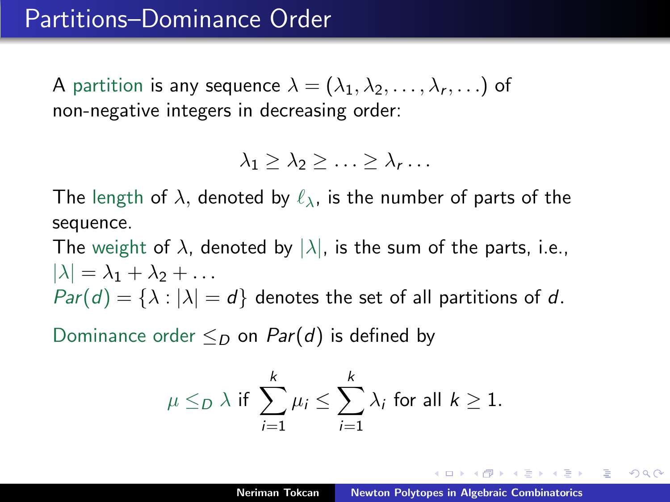A partition is any sequence  $\lambda=(\lambda_1,\lambda_2,\ldots,\lambda_r,\ldots)$  of non-negative integers in decreasing order:

$$
\lambda_1 \geq \lambda_2 \geq \ldots \geq \lambda_r \ldots
$$

The length of  $\lambda$ , denoted by  $\ell_{\lambda}$ , is the number of parts of the sequence.

The weight of  $\lambda$ , denoted by  $|\lambda|$ , is the sum of the parts, i.e.,  $|\lambda| = \lambda_1 + \lambda_2 + \ldots$  $Par(d) = {\lambda : |\lambda| = d}$  denotes the set of all partitions of d.

Dominance order  $\leq_D$  on Par(d) is defined by

$$
\mu \leq_D \lambda \text{ if } \sum_{i=1}^k \mu_i \leq \sum_{i=1}^k \lambda_i \text{ for all } k \geq 1.
$$

A + + = + + = +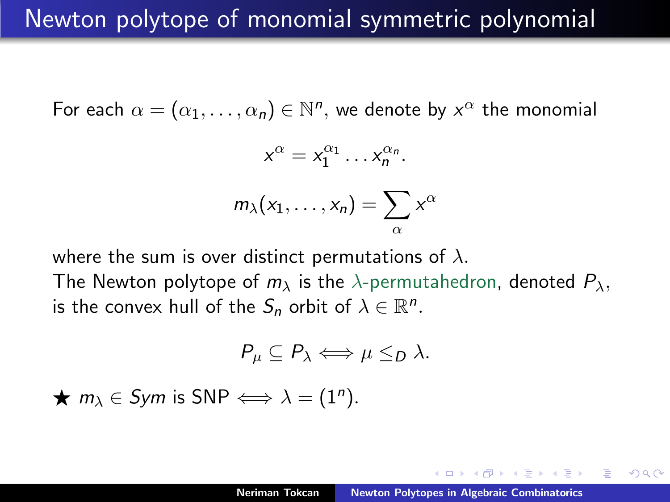### Newton polytope of monomial symmetric polynomial

For each  $\alpha = (\alpha_1, \ldots, \alpha_n) \in \mathbb{N}^n$ , we denote by  $x^\alpha$  the monomial

$$
x^{\alpha}=x_1^{\alpha_1}\ldots x_n^{\alpha_n}.
$$

$$
m_\lambda(x_1,\ldots,x_n)=\sum_\alpha x^\alpha
$$

where the sum is over distinct permutations of  $\lambda$ . The Newton polytope of  $m_{\lambda}$  is the  $\lambda$ -permutahedron, denoted  $P_{\lambda}$ , is the convex hull of the  $S_n$  orbit of  $\lambda \in \mathbb{R}^n$ .

$$
P_{\mu} \subseteq P_{\lambda} \Longleftrightarrow \mu \leq_D \lambda.
$$

 $\star$   $m_{\lambda} \in Sym$  is SNP  $\Longleftrightarrow \lambda = (1^n)$ .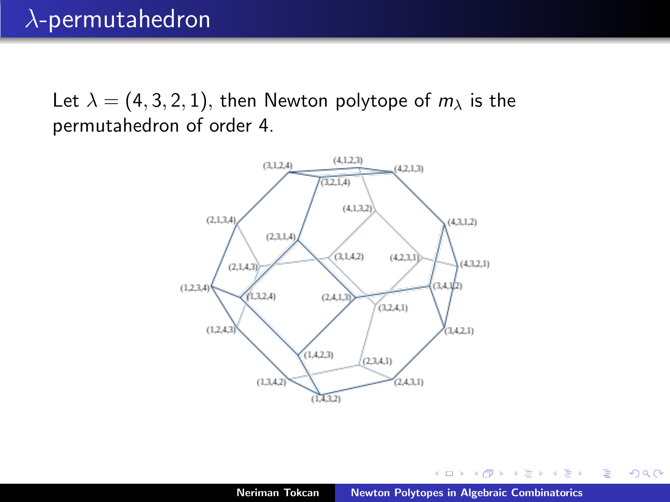### $\lambda$ -permutahedron

Let  $\lambda = (4, 3, 2, 1)$ , then Newton polytope of  $m_{\lambda}$  is the permutahedron of order 4.



 $4.17 \times$ 

K 御 ▶ K 唐 ▶ K 唐 ▶

È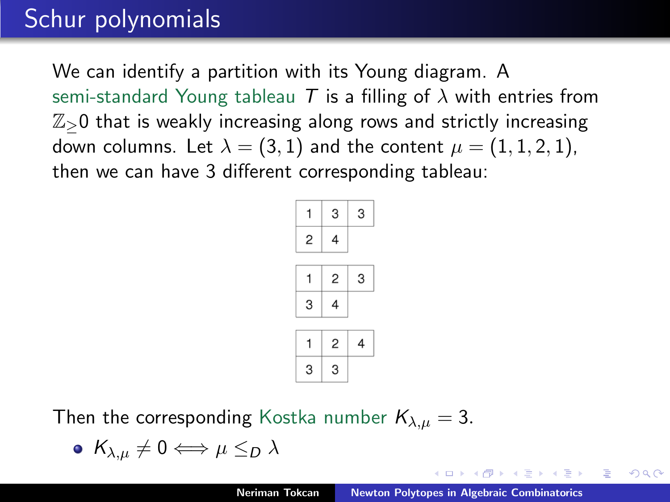## Schur polynomials

We can identify a partition with its Young diagram. A semi-standard Young tableau T is a filling of  $\lambda$  with entries from  $\mathbb{Z}_{>0}$  that is weakly increasing along rows and strictly increasing down columns. Let  $\lambda = (3, 1)$  and the content  $\mu = (1, 1, 2, 1)$ , then we can have 3 different corresponding tableau:



Then the corresponding Kostka number  $K_{\lambda,\mu} = 3$ .

$$
\bullet \ \ K_{\lambda,\mu}\neq 0 \Longleftrightarrow \mu \leq_D \lambda
$$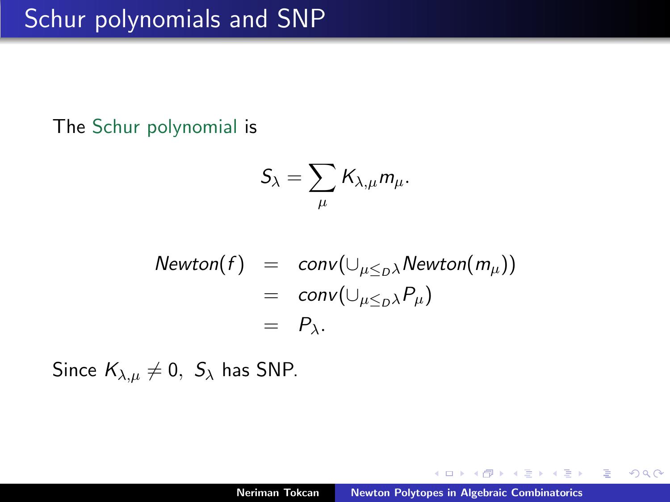## Schur polynomials and SNP

The Schur polynomial is

$$
\mathcal{S}_{\lambda}=\sum_{\mu} \mathcal{K}_{\lambda,\mu} m_{\mu}.
$$

$$
Newton(f) = conv(\cup_{\mu \leq D\lambda} Newton(m_{\mu}))
$$
  
= conv(\cup\_{\mu \leq D\lambda} P\_{\mu})  
= P\_{\lambda}

Since  $K_{\lambda,\mu} \neq 0$ ,  $S_{\lambda}$  has SNP.

 $4.171 \pm$ 

K 御 ▶ K 唐 ▶ K 唐 ▶

重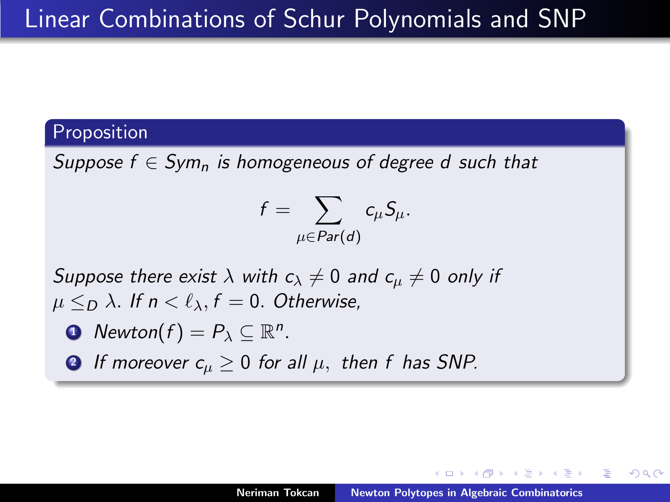### Proposition

Suppose  $f \in Sym_n$  is homogeneous of degree d such that

$$
f=\sum_{\mu\in Par(d)}c_\mu S_\mu.
$$

Suppose there exist  $\lambda$  with  $c_{\lambda} \neq 0$  and  $c_{\mu} \neq 0$  only if  $\mu \leq_D \lambda$ . If  $n < \ell_\lambda$ ,  $f = 0$ . Otherwise,

• Newton
$$
(f)
$$
 =  $P_{\lambda} \subseteq \mathbb{R}^n$ .

**2** If moreover  $c_u \geq 0$  for all  $\mu$ , then f has SNP.

AD > - 4 E > - 4 E >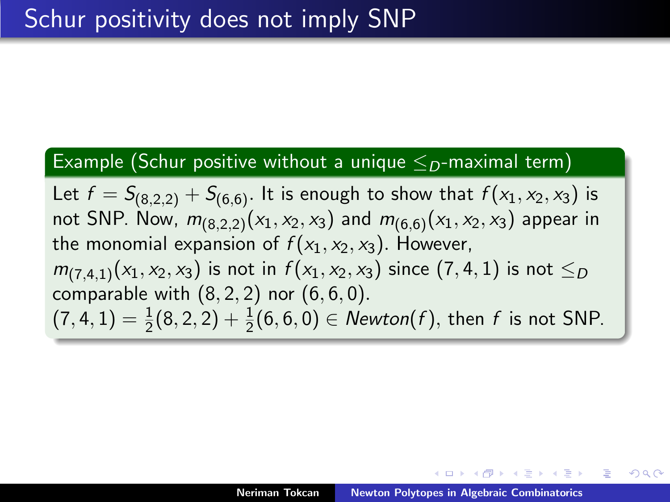#### Example (Schur positive without a unique  $\leq_D$ -maximal term)

Let  $f = S_{(8,2,2)} + S_{(6,6)}$ . It is enough to show that  $f(x_1, x_2, x_3)$  is not SNP. Now,  $m_{(8,2,2)}(x_1,x_2,x_3)$  and  $m_{(6,6)}(x_1,x_2,x_3)$  appear in the monomial expansion of  $f(x_1, x_2, x_3)$ . However,  $m_{(7,4,1)}(x_1, x_2, x_3)$  is not in  $f(x_1, x_2, x_3)$  since  $(7,4,1)$  is not  $\leq_D$ comparable with  $(8, 2, 2)$  nor  $(6, 6, 0)$ .  $(7, 4, 1) = \frac{1}{2}(8, 2, 2) + \frac{1}{2}(6, 6, 0) \in \text{Newton}(f)$ , then f is not SNP.

A + + = + + = +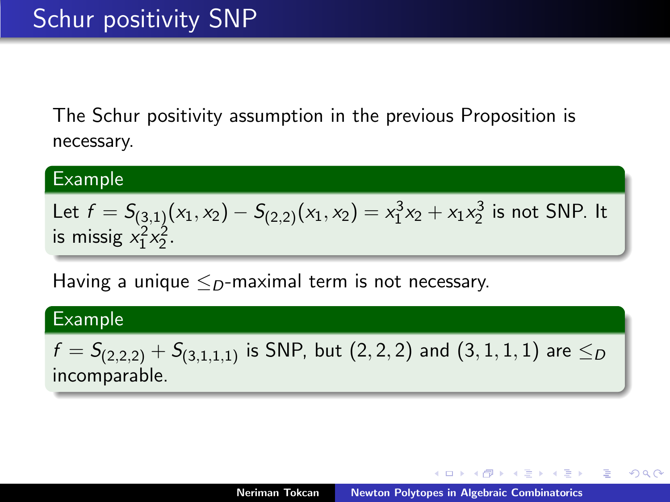The Schur positivity assumption in the previous Proposition is necessary.

#### Example

Let 
$$
f = S_{(3,1)}(x_1, x_2) - S_{(2,2)}(x_1, x_2) = x_1^3 x_2 + x_1 x_2^3
$$
 is not SNP. It  
is missing  $x_1^2 x_2^2$ .

Having a unique  $\leq_{\mathcal{D}}$ -maximal term is not necessary.

#### Example

 $f = S_{(2,2,2)} + S_{(3,1,1,1)}$  is SNP, but  $(2,2,2)$  and  $(3,1,1,1)$  are  $\leq_D$ incomparable.

メロメ メ御 メメ ヨメメ ヨメー

 $2Q$ 

遥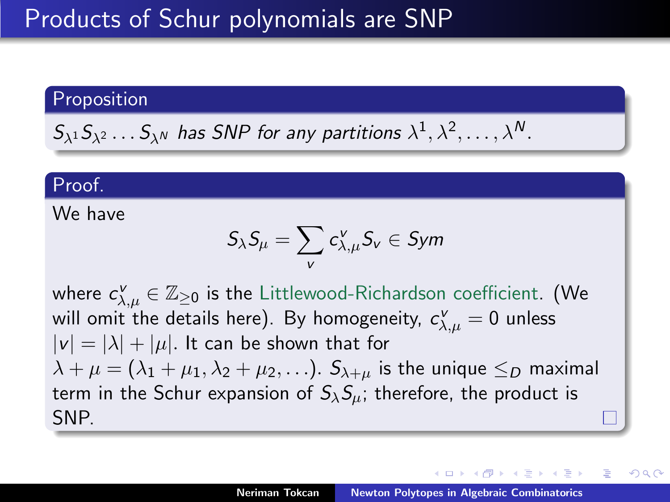#### Proposition

$$
S_{\lambda^1} S_{\lambda^2} \dots S_{\lambda^N}
$$
 has SNP for any partitions  $\lambda^1, \lambda^2, \dots, \lambda^N$ .

#### Proof.

We have

$$
\mathcal{S}_\lambda \mathcal{S}_\mu = \sum_v c_{\lambda,\mu}^v \mathcal{S}_v \in \mathit{Sym}
$$

where  $c_{\lambda,\mu}^{\mathsf{v}} \in \mathbb{Z}_{\geq 0}$  is the Littlewood-Richardson coefficient. (We will omit the details here). By homogeneity,  $\,c^{\nu}_{\lambda,\mu}=0\,$  unless  $|v| = |\lambda| + |\mu|$ . It can be shown that for  $\lambda + \mu = (\lambda_1 + \mu_1, \lambda_2 + \mu_2, \ldots)$ .  $S_{\lambda+\mu}$  is the unique  $\leq_D$  maximal term in the Schur expansion of  $S_{\lambda}S_{\mu}$ ; therefore, the product is SNP.

オター・オティ オティ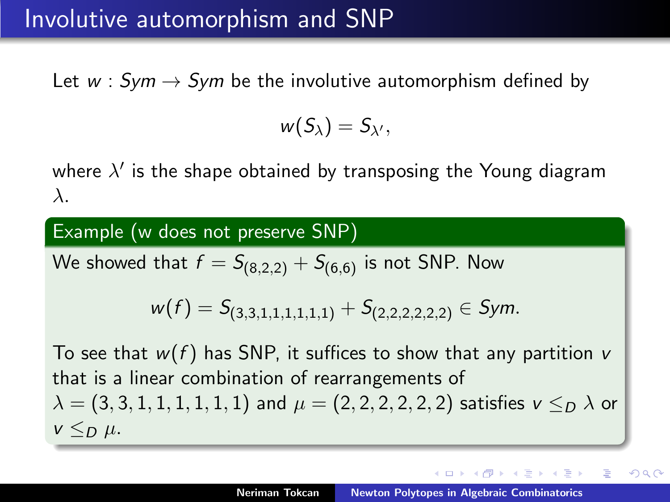### Involutive automorphism and SNP

Let  $w : Sym \rightarrow Sym$  be the involutive automorphism defined by

$$
w(S_{\lambda})=S_{\lambda'},
$$

where  $\lambda'$  is the shape obtained by transposing the Young diagram λ.

Example (w does not preserve SNP)

We showed that  $f = S_{(8,2,2)} + S_{(6,6)}$  is not SNP. Now

$$
w(f)=S_{(3,3,1,1,1,1,1,1)}+S_{(2,2,2,2,2,2)}\in Sym.
$$

To see that  $w(f)$  has SNP, it suffices to show that any partition v that is a linear combination of rearrangements of  $\lambda = (3, 3, 1, 1, 1, 1, 1, 1)$  and  $\mu = (2, 2, 2, 2, 2, 2)$  satisfies  $\nu \leq_D \lambda$  or  $v \leq_D \mu$ .

つへへ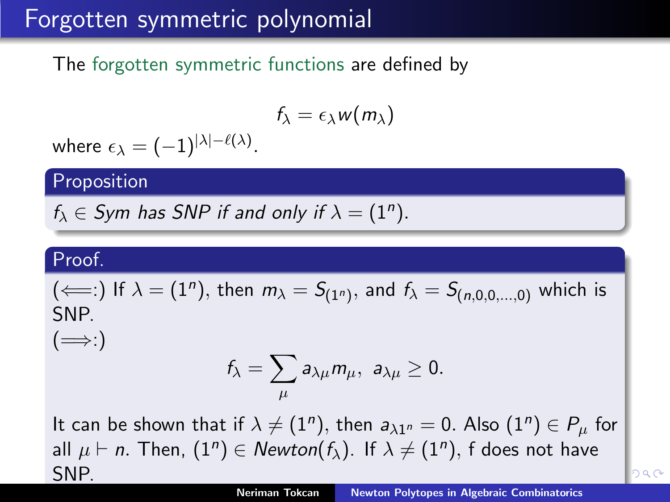## Forgotten symmetric polynomial

The forgotten symmetric functions are defined by

$$
f_{\lambda}=\epsilon_{\lambda}w(m_{\lambda})
$$

where  $\epsilon_{\lambda}= (-1)^{|\lambda|-\ell(\lambda)}.$ 

Proposition

 $f_{\lambda} \in Sym$  has SNP if and only if  $\lambda = (1^n)$ .

### Proof.

 $(\Longleftarrow:)$  If  $\lambda = (1^n)$ , then  $m_{\lambda} = S_{(1^n)}$ , and  $f_{\lambda} = S_{(n,0,0,...,0)}$  which is SNP.

 $(\implies)$ 

$$
f_{\lambda}=\sum_{\mu}a_{\lambda\mu}m_{\mu},\,\,a_{\lambda\mu}\geq 0.
$$

It can be shown that if  $\lambda \neq (1^n)$ , then  $a_{\lambda 1^n} = 0$ . Also  $(1^n) \in P_\mu$  for all  $\mu \vdash n.$  Then,  $(1^n) \in {\it Newton}(f_\lambda).$  If  $\lambda \neq (1^n),$  f does not have SNP.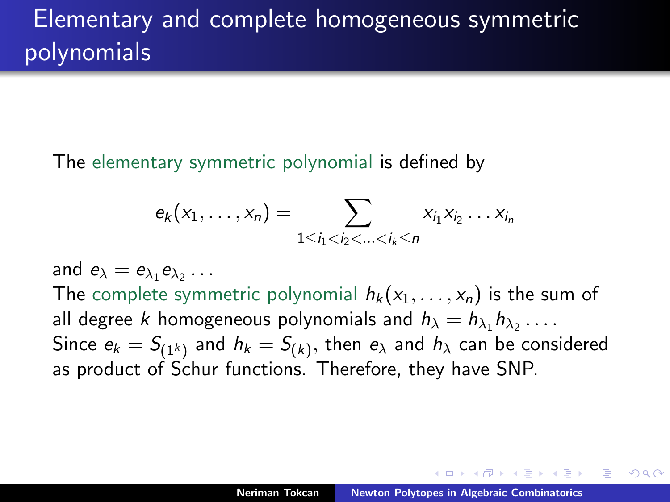The elementary symmetric polynomial is defined by

$$
e_k(x_1,\ldots,x_n)=\sum_{1\leq i_1
$$

and  $e_{\lambda} = e_{\lambda_1} e_{\lambda_2} \ldots$ The complete symmetric polynomial  $h_k(x_1, \ldots, x_n)$  is the sum of all degree k homogeneous polynomials and  $h_{\lambda} = h_{\lambda_1} h_{\lambda_2} \ldots$ . Since  $e_k = S_{(1^k)}$  and  $h_k = S_{(k)},$  then  $e_\lambda$  and  $h_\lambda$  can be considered as product of Schur functions. Therefore, they have SNP.

4 桐 ト 4 三 ト 4 三 トー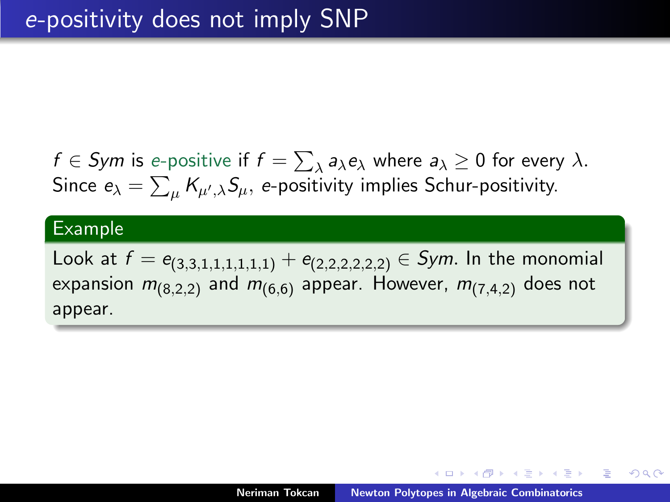$f\in$  Sym is e-positive if  $f=\sum_\lambda a_\lambda e_\lambda$  where  $a_\lambda\geq 0$  for every  $\lambda.$ Since  $e_\lambda = \sum_\mu K_{\mu',\lambda} S_\mu,$   $e$ -positivity implies Schur-positivity.

#### Example

Look at  $f = e_{(3,3,1,1,1,1,1,1)} + e_{(2,2,2,2,2,2)} \in Sym$ . In the monomial expansion  $m_{(8,2,2)}$  and  $m_{(6,6)}$  appear. However,  $m_{(7,4,2)}$  does not appear.

御 ▶ イヨ ▶ イヨ ▶

つくい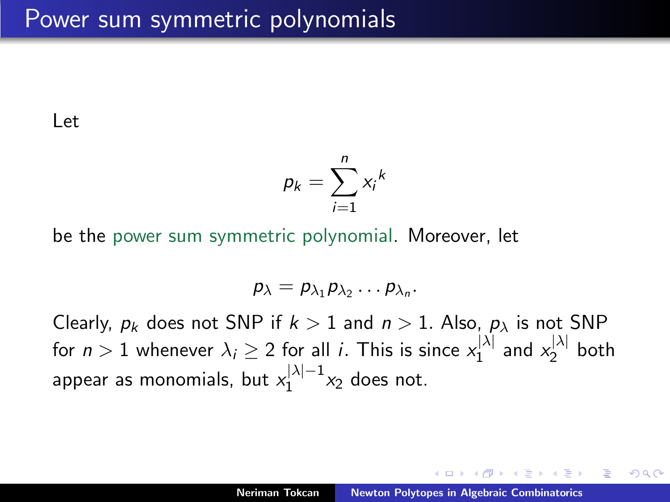Let

$$
p_k = \sum_{i=1}^n x_i^k
$$

be the power sum symmetric polynomial. Moreover, let

$$
p_{\lambda}=p_{\lambda_1}p_{\lambda_2}\ldots p_{\lambda_n}.
$$

Clearly,  $p_k$  does not SNP if  $k > 1$  and  $n > 1$ . Also,  $p_\lambda$  is not SNP for  $n>1$  whenever  $\lambda_i\geq 2$  for all  $i.$  This is since  $x_1^{|\lambda|}$  $\mathbb{Z}_1^{|\lambda|}$  and  $\mathbb{X}_2^{|\lambda|}$  $2^{7}$  both appear as monomials, but  $x_1^{|\lambda|-1}$  $x_1^{|\Lambda|-1}x_2$  does not.

∽≏ດ